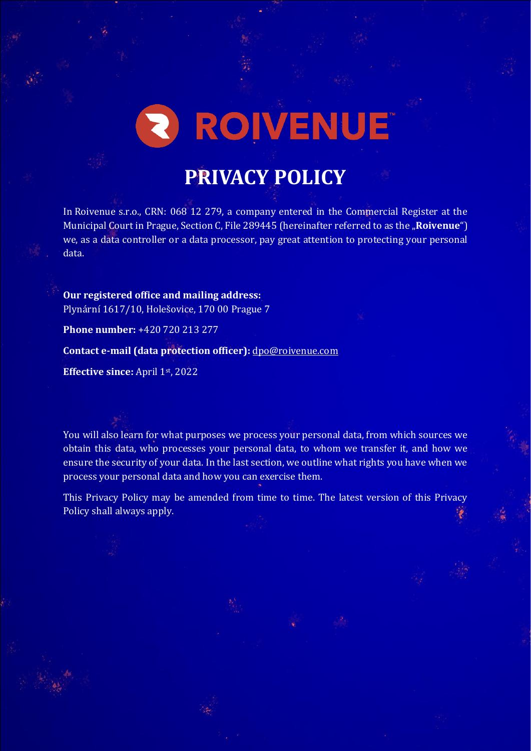# 2 ROIVENUE

# **PRIVACY POLICY**

In Roivenue s.r.o., CRN: 068 12 279, a company entered in the Commercial Register at the Municipal Court in Prague, Section C, File 289445 (hereinafter referred to as the "**Roivenue**") we, as a data controller or a data processor, pay great attention to protecting your personal data.

**Our registered office and mailing address:** Plynární 1617/10, Holešovice, 170 00 Prague 7

**Phone number:** +420 720 213 277

**Contact e-mail (data protection officer):** [dpo@roivenue.com](mailto:dpo@roivenue.com)

**Effective since:** April 1st, 2022

You will also learn for what purposes we process your personal data, from which sources we obtain this data, who processes your personal data, to whom we transfer it, and how we ensure the security of your data. In the last section, we outline what rights you have when we process your personal data and how you can exercise them.

This Privacy Policy may be amended from time to time. The latest version of this Privacy Policy shall always apply.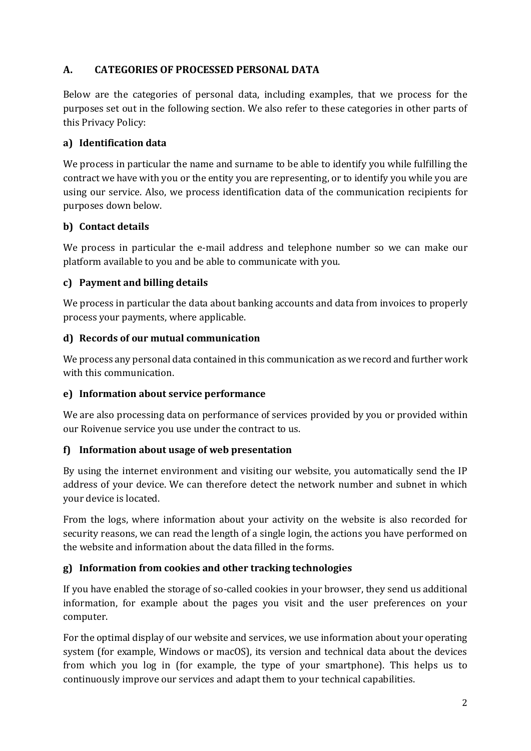#### **A. CATEGORIES OF PROCESSED PERSONAL DATA**

Below are the categories of personal data, including examples, that we process for the purposes set out in the following section. We also refer to these categories in other parts of this Privacy Policy:

#### **a) Identification data**

We process in particular the name and surname to be able to identify you while fulfilling the contract we have with you or the entity you are representing, or to identify you while you are using our service. Also, we process identification data of the communication recipients for purposes down below.

#### **b) Contact details**

We process in particular the e-mail address and telephone number so we can make our platform available to you and be able to communicate with you.

#### **c) Payment and billing details**

We process in particular the data about banking accounts and data from invoices to properly process your payments, where applicable.

#### **d) Records of our mutual communication**

We process any personal data contained in this communication as we record and further work with this communication.

#### **e) Information about service performance**

We are also processing data on performance of services provided by you or provided within our Roivenue service you use under the contract to us.

#### **f) Information about usage of web presentation**

By using the internet environment and visiting our website, you automatically send the IP address of your device. We can therefore detect the network number and subnet in which your device is located.

From the logs, where information about your activity on the website is also recorded for security reasons, we can read the length of a single login, the actions you have performed on the website and information about the data filled in the forms.

#### **g) Information from cookies and other tracking technologies**

If you have enabled the storage of so-called cookies in your browser, they send us additional information, for example about the pages you visit and the user preferences on your computer.

For the optimal display of our website and services, we use information about your operating system (for example, Windows or macOS), its version and technical data about the devices from which you log in (for example, the type of your smartphone). This helps us to continuously improve our services and adapt them to your technical capabilities.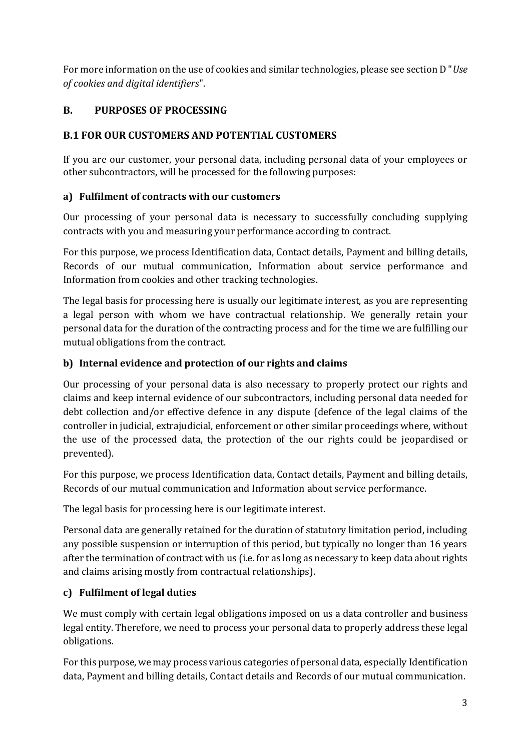For more information on the use of cookies and similar technologies, please see section D "*Use of cookies and digital identifiers*".

# **B. PURPOSES OF PROCESSING**

#### **B.1 FOR OUR CUSTOMERS AND POTENTIAL CUSTOMERS**

If you are our customer, your personal data, including personal data of your employees or other subcontractors, will be processed for the following purposes:

## **a) Fulfilment of contracts with our customers**

Our processing of your personal data is necessary to successfully concluding supplying contracts with you and measuring your performance according to contract.

For this purpose, we process Identification data, Contact details, Payment and billing details, Records of our mutual communication, Information about service performance and Information from cookies and other tracking technologies.

The legal basis for processing here is usually our legitimate interest, as you are representing a legal person with whom we have contractual relationship. We generally retain your personal data for the duration of the contracting process and for the time we are fulfilling our mutual obligations from the contract.

#### **b) Internal evidence and protection of our rights and claims**

Our processing of your personal data is also necessary to properly protect our rights and claims and keep internal evidence of our subcontractors, including personal data needed for debt collection and/or effective defence in any dispute (defence of the legal claims of the controller in judicial, extrajudicial, enforcement or other similar proceedings where, without the use of the processed data, the protection of the our rights could be jeopardised or prevented).

For this purpose, we process Identification data, Contact details, Payment and billing details, Records of our mutual communication and Information about service performance.

The legal basis for processing here is our legitimate interest.

Personal data are generally retained for the duration of statutory limitation period, including any possible suspension or interruption of this period, but typically no longer than 16 years after the termination of contract with us (i.e. for as long as necessary to keep data about rights and claims arising mostly from contractual relationships).

# **c) Fulfilment of legal duties**

We must comply with certain legal obligations imposed on us a data controller and business legal entity. Therefore, we need to process your personal data to properly address these legal obligations.

For this purpose, we may process various categories of personal data, especially Identification data, Payment and billing details, Contact details and Records of our mutual communication.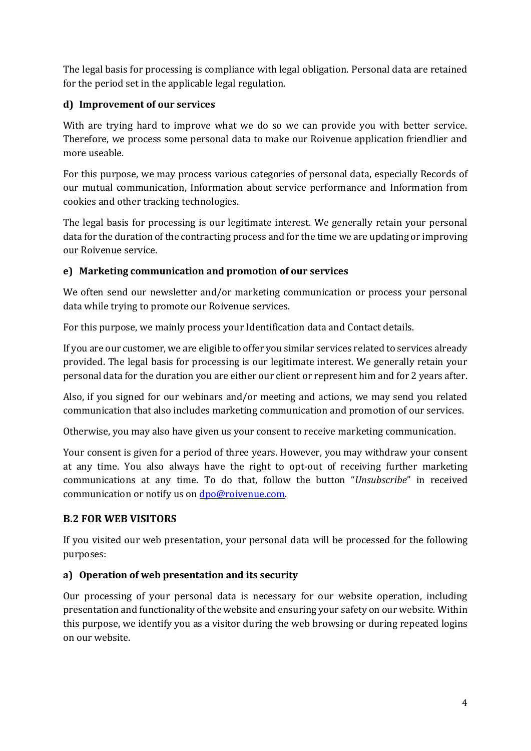The legal basis for processing is compliance with legal obligation. Personal data are retained for the period set in the applicable legal regulation.

#### **d) Improvement of our services**

With are trying hard to improve what we do so we can provide you with better service. Therefore, we process some personal data to make our Roivenue application friendlier and more useable.

For this purpose, we may process various categories of personal data, especially Records of our mutual communication, Information about service performance and Information from cookies and other tracking technologies.

The legal basis for processing is our legitimate interest. We generally retain your personal data for the duration of the contracting process and for the time we are updating or improving our Roivenue service.

## **e) Marketing communication and promotion of our services**

We often send our newsletter and/or marketing communication or process your personal data while trying to promote our Roivenue services.

For this purpose, we mainly process your Identification data and Contact details.

If you are our customer, we are eligible to offer you similar services related to services already provided. The legal basis for processing is our legitimate interest. We generally retain your personal data for the duration you are either our client or represent him and for 2 years after.

Also, if you signed for our webinars and/or meeting and actions, we may send you related communication that also includes marketing communication and promotion of our services.

Otherwise, you may also have given us your consent to receive marketing communication.

Your consent is given for a period of three years. However, you may withdraw your consent at any time. You also always have the right to opt-out of receiving further marketing communications at any time. To do that, follow the button "*Unsubscribe*" in received communication or notify us o[n dpo@roivenue.com.](mailto:dpo@roivenue.com)

# **B.2 FOR WEB VISITORS**

If you visited our web presentation, your personal data will be processed for the following purposes:

# **a) Operation of web presentation and its security**

Our processing of your personal data is necessary for our website operation, including presentation and functionality of the website and ensuring your safety on our website. Within this purpose, we identify you as a visitor during the web browsing or during repeated logins on our website.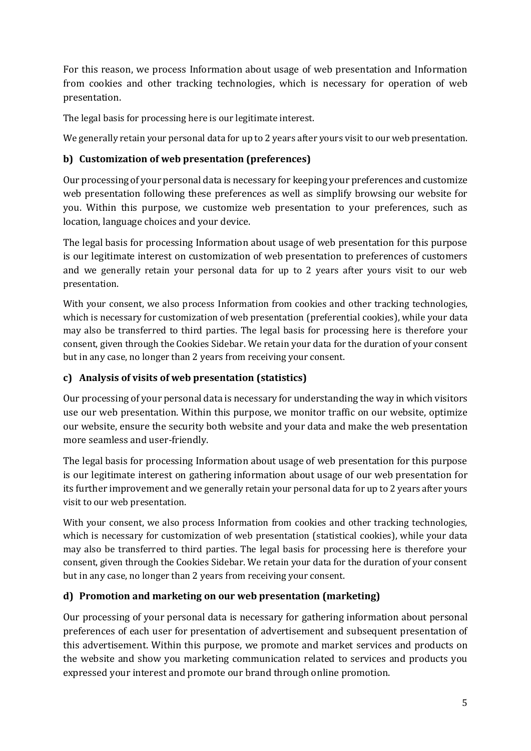For this reason, we process Information about usage of web presentation and Information from cookies and other tracking technologies, which is necessary for operation of web presentation.

The legal basis for processing here is our legitimate interest.

We generally retain your personal data for up to 2 years after yours visit to our web presentation.

#### **b) Customization of web presentation (preferences)**

Our processing of your personal data is necessary for keeping your preferences and customize web presentation following these preferences as well as simplify browsing our website for you. Within this purpose, we customize web presentation to your preferences, such as location, language choices and your device.

The legal basis for processing Information about usage of web presentation for this purpose is our legitimate interest on customization of web presentation to preferences of customers and we generally retain your personal data for up to 2 years after yours visit to our web presentation.

With your consent, we also process Information from cookies and other tracking technologies, which is necessary for customization of web presentation (preferential cookies), while your data may also be transferred to third parties. The legal basis for processing here is therefore your consent, given through the Cookies Sidebar. We retain your data for the duration of your consent but in any case, no longer than 2 years from receiving your consent.

#### **c) Analysis of visits of web presentation (statistics)**

Our processing of your personal data is necessary for understanding the way in which visitors use our web presentation. Within this purpose, we monitor traffic on our website, optimize our website, ensure the security both website and your data and make the web presentation more seamless and user-friendly.

The legal basis for processing Information about usage of web presentation for this purpose is our legitimate interest on gathering information about usage of our web presentation for its further improvement and we generally retain your personal data for up to 2 years after yours visit to our web presentation.

With your consent, we also process Information from cookies and other tracking technologies, which is necessary for customization of web presentation (statistical cookies), while your data may also be transferred to third parties. The legal basis for processing here is therefore your consent, given through the Cookies Sidebar. We retain your data for the duration of your consent but in any case, no longer than 2 years from receiving your consent.

#### **d) Promotion and marketing on our web presentation (marketing)**

Our processing of your personal data is necessary for gathering information about personal preferences of each user for presentation of advertisement and subsequent presentation of this advertisement. Within this purpose, we promote and market services and products on the website and show you marketing communication related to services and products you expressed your interest and promote our brand through online promotion.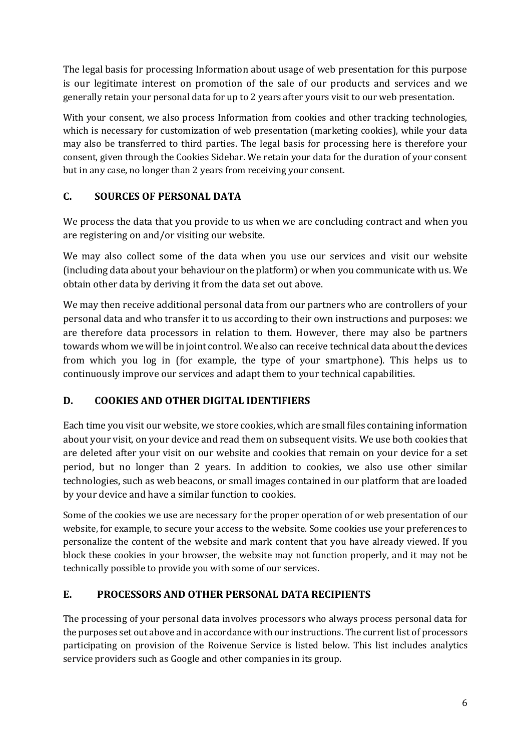The legal basis for processing Information about usage of web presentation for this purpose is our legitimate interest on promotion of the sale of our products and services and we generally retain your personal data for up to 2 years after yours visit to our web presentation.

With your consent, we also process Information from cookies and other tracking technologies, which is necessary for customization of web presentation (marketing cookies), while your data may also be transferred to third parties. The legal basis for processing here is therefore your consent, given through the Cookies Sidebar. We retain your data for the duration of your consent but in any case, no longer than 2 years from receiving your consent.

# **C. SOURCES OF PERSONAL DATA**

We process the data that you provide to us when we are concluding contract and when you are registering on and/or visiting our website.

We may also collect some of the data when you use our services and visit our website (including data about your behaviour on the platform) or when you communicate with us. We obtain other data by deriving it from the data set out above.

We may then receive additional personal data from our partners who are controllers of your personal data and who transfer it to us according to their own instructions and purposes: we are therefore data processors in relation to them. However, there may also be partners towards whom we will be in joint control. We also can receive technical data about the devices from which you log in (for example, the type of your smartphone). This helps us to continuously improve our services and adapt them to your technical capabilities.

# **D. COOKIES AND OTHER DIGITAL IDENTIFIERS**

Each time you visit our website, we store cookies, which are small files containing information about your visit, on your device and read them on subsequent visits. We use both cookies that are deleted after your visit on our website and cookies that remain on your device for a set period, but no longer than 2 years. In addition to cookies, we also use other similar technologies, such as web beacons, or small images contained in our platform that are loaded by your device and have a similar function to cookies.

Some of the cookies we use are necessary for the proper operation of or web presentation of our website, for example, to secure your access to the website. Some cookies use your preferences to personalize the content of the website and mark content that you have already viewed. If you block these cookies in your browser, the website may not function properly, and it may not be technically possible to provide you with some of our services.

#### **E. PROCESSORS AND OTHER PERSONAL DATA RECIPIENTS**

The processing of your personal data involves processors who always process personal data for the purposes set out above and in accordance with our instructions. The current list of processors participating on provision of the Roivenue Service is listed below. This list includes analytics service providers such as Google and other companies in its group.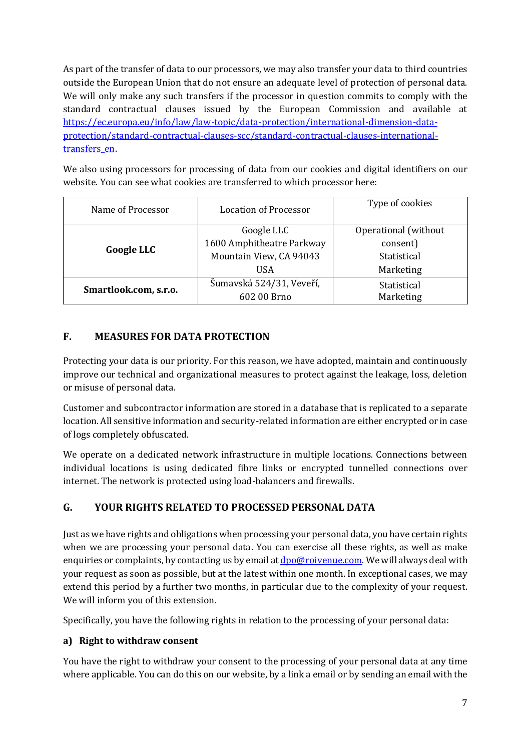As part of the transfer of data to our processors, we may also transfer your data to third countries outside the European Union that do not ensure an adequate level of protection of personal data. We will only make any such transfers if the processor in question commits to comply with the standard contractual clauses issued by the European Commission and available at [https://ec.europa.eu/info/law/law-topic/data-protection/international-dimension-data](https://ec.europa.eu/info/law/law-topic/data-protection/international-dimension-data-protection/standard-contractual-clauses-scc/standard-contractual-clauses-international-transfers_en)[protection/standard-contractual-clauses-scc/standard-contractual-clauses-international](https://ec.europa.eu/info/law/law-topic/data-protection/international-dimension-data-protection/standard-contractual-clauses-scc/standard-contractual-clauses-international-transfers_en)[transfers\\_en.](https://ec.europa.eu/info/law/law-topic/data-protection/international-dimension-data-protection/standard-contractual-clauses-scc/standard-contractual-clauses-international-transfers_en)

We also using processors for processing of data from our cookies and digital identifiers on our website. You can see what cookies are transferred to which processor here:

| Name of Processor     | <b>Location of Processor</b> | Type of cookies      |
|-----------------------|------------------------------|----------------------|
| <b>Google LLC</b>     | Google LLC                   | Operational (without |
|                       | 1600 Amphitheatre Parkway    | consent)             |
|                       | Mountain View, CA 94043      | Statistical          |
|                       | <b>USA</b>                   | Marketing            |
| Smartlook.com, s.r.o. | Šumavská 524/31, Veveří,     | Statistical          |
|                       | 602 00 Brno                  | Marketing            |

#### **F. MEASURES FOR DATA PROTECTION**

Protecting your data is our priority. For this reason, we have adopted, maintain and continuously improve our technical and organizational measures to protect against the leakage, loss, deletion or misuse of personal data.

Customer and subcontractor information are stored in a database that is replicated to a separate location. All sensitive information and security-related information are either encrypted or in case of logs completely obfuscated.

We operate on a dedicated network infrastructure in multiple locations. Connections between individual locations is using dedicated fibre links or encrypted tunnelled connections over internet. The network is protected using load-balancers and firewalls.

#### **G. YOUR RIGHTS RELATED TO PROCESSED PERSONAL DATA**

Just as we have rights and obligations when processing your personal data, you have certain rights when we are processing your personal data. You can exercise all these rights, as well as make enquiries or complaints, by contacting us by email at **dpo@roivenue.com**. We will always deal with your request as soon as possible, but at the latest within one month. In exceptional cases, we may extend this period by a further two months, in particular due to the complexity of your request. We will inform you of this extension.

Specifically, you have the following rights in relation to the processing of your personal data:

#### **a) Right to withdraw consent**

You have the right to withdraw your consent to the processing of your personal data at any time where applicable. You can do this on our website, by a link a email or by sending an email with the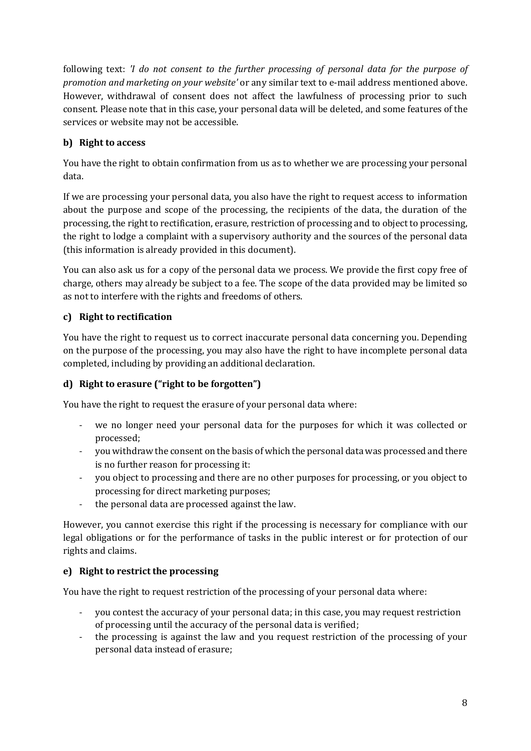following text: *'I do not consent to the further processing of personal data for the purpose of promotion and marketing on your website'* or any similar text to e-mail address mentioned above. However, withdrawal of consent does not affect the lawfulness of processing prior to such consent. Please note that in this case, your personal data will be deleted, and some features of the services or website may not be accessible.

#### **b) Right to access**

You have the right to obtain confirmation from us as to whether we are processing your personal data.

If we are processing your personal data, you also have the right to request access to information about the purpose and scope of the processing, the recipients of the data, the duration of the processing, the right to rectification, erasure, restriction of processing and to object to processing, the right to lodge a complaint with a supervisory authority and the sources of the personal data (this information is already provided in this document).

You can also ask us for a copy of the personal data we process. We provide the first copy free of charge, others may already be subject to a fee. The scope of the data provided may be limited so as not to interfere with the rights and freedoms of others.

#### **c) Right to rectification**

You have the right to request us to correct inaccurate personal data concerning you. Depending on the purpose of the processing, you may also have the right to have incomplete personal data completed, including by providing an additional declaration.

#### **d) Right to erasure ("right to be forgotten")**

You have the right to request the erasure of your personal data where:

- we no longer need your personal data for the purposes for which it was collected or processed;
- you withdraw the consent on the basis of which the personal data was processed and there is no further reason for processing it:
- you object to processing and there are no other purposes for processing, or you object to processing for direct marketing purposes;
- the personal data are processed against the law.

However, you cannot exercise this right if the processing is necessary for compliance with our legal obligations or for the performance of tasks in the public interest or for protection of our rights and claims.

#### **e) Right to restrict the processing**

You have the right to request restriction of the processing of your personal data where:

- you contest the accuracy of your personal data; in this case, you may request restriction of processing until the accuracy of the personal data is verified;
- the processing is against the law and you request restriction of the processing of your personal data instead of erasure;